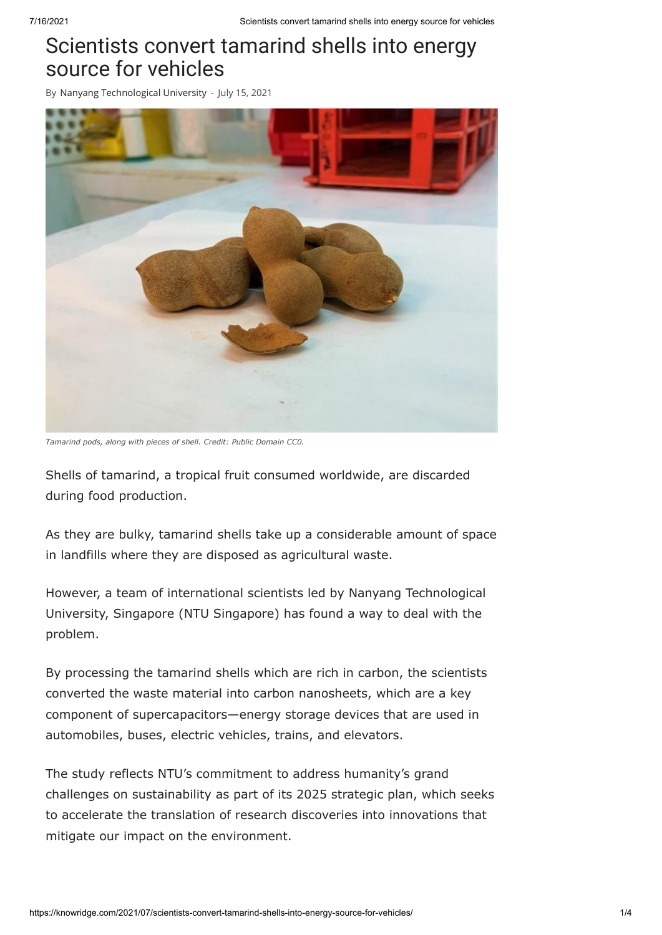## Scientists convert tamarind shells into energy source for vehicles

By Nanyang [Technological](https://knowridge.com/author/nanyang-technological-university/) University - July 15, 2021



*Tamarind pods, along with pieces of shell. Credit: Public Domain CC0.*

Shells of tamarind, a tropical fruit consumed worldwide, are discarded during food production.

As they are bulky, tamarind shells take up a considerable amount of space in landfills where they are disposed as agricultural waste.

However, a team of international scientists led by Nanyang Technological University, Singapore (NTU Singapore) has found a way to deal with the problem.

By processing the tamarind shells which are rich in carbon, the scientists converted the waste material into carbon nanosheets, which are a key component of supercapacitors—energy storage devices that are used in automobiles, buses, electric vehicles, trains, and elevators.

The study reflects NTU's commitment to address humanity's grand challenges on sustainability as part of its 2025 strategic plan, which seeks to accelerate the translation of research discoveries into innovations that mitigate our impact on the environment.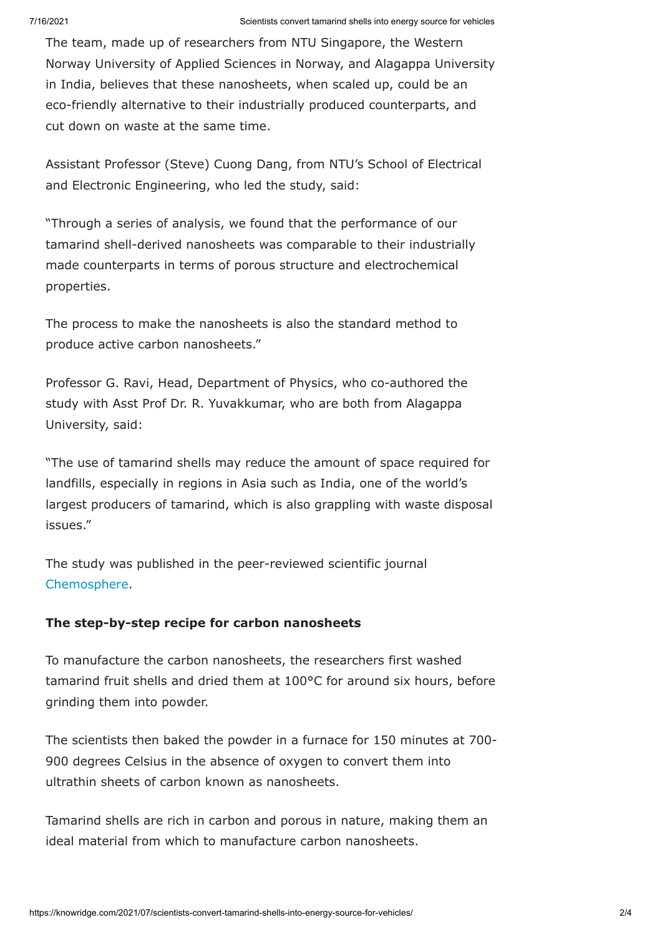The team, made up of researchers from NTU Singapore, the Western Norway University of Applied Sciences in Norway, and Alagappa University in India, believes that these nanosheets, when scaled up, could be an eco-friendly alternative to their industrially produced counterparts, and cut down on waste at the same time.

Assistant Professor (Steve) Cuong Dang, from NTU's School of Electrical and Electronic Engineering, who led the study, said:

"Through a series of analysis, we found that the performance of our tamarind shell-derived nanosheets was comparable to their industrially made counterparts in terms of porous structure and electrochemical properties.

The process to make the nanosheets is also the standard method to produce active carbon nanosheets."

Professor G. Ravi, Head, Department of Physics, who co-authored the study with Asst Prof Dr. R. Yuvakkumar, who are both from Alagappa University, said:

"The use of tamarind shells may reduce the amount of space required for landfills, especially in regions in Asia such as India, one of the world's largest producers of tamarind, which is also grappling with waste disposal issues."

The study was published in the peer-reviewed scientific journal [Chemosphere](https://doi.org/10.1016/j.chemosphere.2021.131033).

### **The step-by-step recipe for carbon nanosheets**

To manufacture the carbon nanosheets, the researchers first washed tamarind fruit shells and dried them at 100°C for around six hours, before grinding them into powder.

The scientists then baked the powder in a furnace for 150 minutes at 700- 900 degrees Celsius in the absence of oxygen to convert them into ultrathin sheets of carbon known as nanosheets.

Tamarind shells are rich in carbon and porous in nature, making them an ideal material from which to manufacture carbon nanosheets.